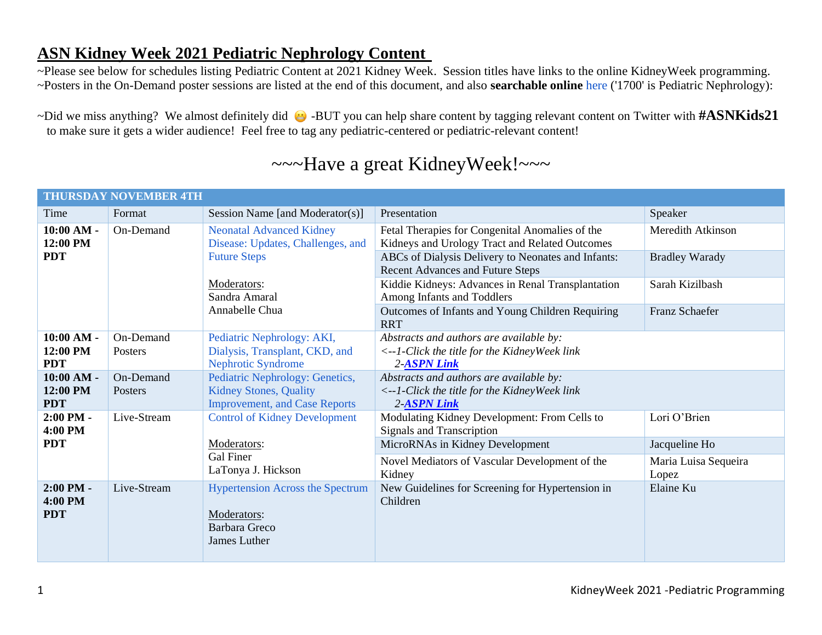## **ASN Kidney Week 2021 Pediatric Nephrology Content**

~Please see below for schedules listing Pediatric Content at 2021 Kidney Week. Session titles have links to the online KidneyWeek programming. ~Posters in the On-Demand poster sessions are listed at the end of this document, and also **searchable online** [here \('1700' is Pediatric Nephrology\):](https://www.asn-online.org/education/kidneyweek/2021/program-search-abstract.aspx)

~Did we miss anything? We almost definitely did  $\bigoplus$  -BUT you can help share content by tagging relevant content on Twitter with #ASNKids21 to make sure it gets a wider audience! Feel free to tag any pediatric-centered or pediatric-relevant content!

## ~~~Have a great KidneyWeek!~~~

| <b>THURSDAY NOVEMBER 4TH</b>           |                      |                                                                                                          |                                                                                                                 |                               |  |
|----------------------------------------|----------------------|----------------------------------------------------------------------------------------------------------|-----------------------------------------------------------------------------------------------------------------|-------------------------------|--|
| Time                                   | Format               | Session Name [and Moderator(s)]                                                                          | Presentation                                                                                                    | Speaker                       |  |
| $10:00 AM -$<br>12:00 PM               | On-Demand            | <b>Neonatal Advanced Kidney</b><br>Disease: Updates, Challenges, and                                     | Fetal Therapies for Congenital Anomalies of the<br>Kidneys and Urology Tract and Related Outcomes               | <b>Meredith Atkinson</b>      |  |
| <b>PDT</b>                             |                      | <b>Future Steps</b>                                                                                      | ABCs of Dialysis Delivery to Neonates and Infants:<br><b>Recent Advances and Future Steps</b>                   | <b>Bradley Warady</b>         |  |
|                                        |                      | Moderators:<br>Sandra Amaral                                                                             | Kiddie Kidneys: Advances in Renal Transplantation<br>Among Infants and Toddlers                                 | Sarah Kizilbash               |  |
|                                        |                      | Annabelle Chua                                                                                           | Outcomes of Infants and Young Children Requiring<br><b>RRT</b>                                                  | Franz Schaefer                |  |
| $10:00 AM -$<br>12:00 PM<br><b>PDT</b> | On-Demand<br>Posters | Pediatric Nephrology: AKI,<br>Dialysis, Transplant, CKD, and<br><b>Nephrotic Syndrome</b>                | Abstracts and authors are available by:<br><--1-Click the title for the KidneyWeek link<br>2-ASPN Link          |                               |  |
| $10:00 AM -$<br>12:00 PM<br><b>PDT</b> | On-Demand<br>Posters | Pediatric Nephrology: Genetics,<br><b>Kidney Stones, Quality</b><br><b>Improvement, and Case Reports</b> | Abstracts and authors are available by:<br>$\langle -1$ -Click the title for the KidneyWeek link<br>2-ASPN Link |                               |  |
| $2:00$ PM -<br>4:00 PM                 | Live-Stream          | <b>Control of Kidney Development</b>                                                                     | Modulating Kidney Development: From Cells to<br><b>Signals and Transcription</b>                                | Lori O'Brien                  |  |
| <b>PDT</b>                             |                      | Moderators:<br>Gal Finer                                                                                 | MicroRNAs in Kidney Development                                                                                 | Jacqueline Ho                 |  |
|                                        |                      | LaTonya J. Hickson                                                                                       | Novel Mediators of Vascular Development of the<br>Kidney                                                        | Maria Luisa Sequeira<br>Lopez |  |
| $2:00$ PM -<br>4:00 PM<br><b>PDT</b>   | Live-Stream          | <b>Hypertension Across the Spectrum</b><br>Moderators:<br>Barbara Greco<br>James Luther                  | New Guidelines for Screening for Hypertension in<br>Children                                                    | Elaine Ku                     |  |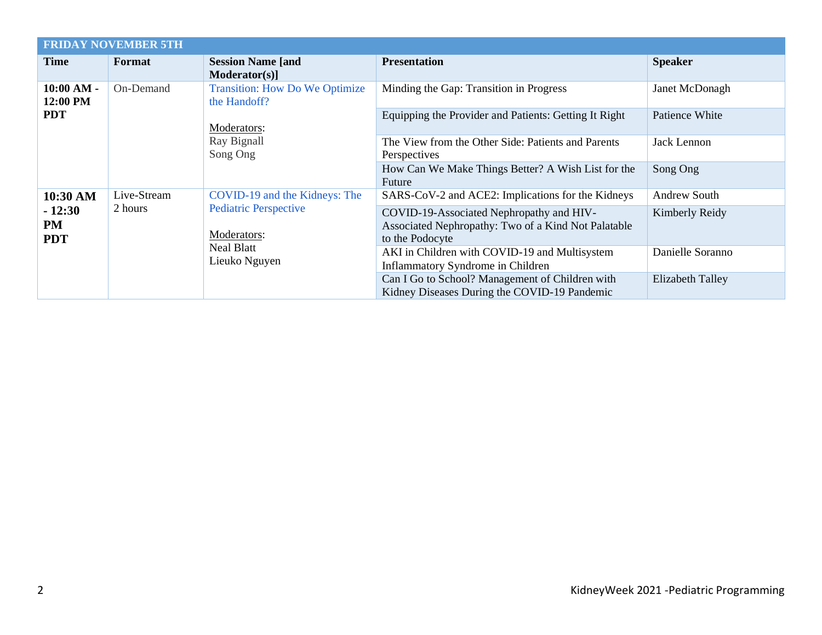| <b>FRIDAY NOVEMBER 5TH</b>                      |                        |                                                                                                                    |                                                                                                                    |                     |  |
|-------------------------------------------------|------------------------|--------------------------------------------------------------------------------------------------------------------|--------------------------------------------------------------------------------------------------------------------|---------------------|--|
| Time                                            | Format                 | <b>Session Name [and</b><br>$Modern (s)$ ]                                                                         | <b>Presentation</b>                                                                                                | <b>Speaker</b>      |  |
| 10:00 AM -<br>12:00 PM<br><b>PDT</b>            | On-Demand              | <b>Transition: How Do We Optimize</b><br>the Handoff?<br>Moderators:<br>Ray Bignall<br>Song Ong                    | Minding the Gap: Transition in Progress                                                                            | Janet McDonagh      |  |
|                                                 |                        |                                                                                                                    | Equipping the Provider and Patients: Getting It Right                                                              | Patience White      |  |
|                                                 |                        |                                                                                                                    | The View from the Other Side: Patients and Parents<br>Perspectives                                                 | Jack Lennon         |  |
|                                                 |                        |                                                                                                                    | How Can We Make Things Better? A Wish List for the<br>Future                                                       | Song Ong            |  |
| 10:30 AM<br>$-12:30$<br><b>PM</b><br><b>PDT</b> | Live-Stream<br>2 hours | COVID-19 and the Kidneys: The<br><b>Pediatric Perspective</b><br>Moderators:<br><b>Neal Blatt</b><br>Lieuko Nguyen | SARS-CoV-2 and ACE2: Implications for the Kidneys                                                                  | <b>Andrew South</b> |  |
|                                                 |                        |                                                                                                                    | COVID-19-Associated Nephropathy and HIV-<br>Associated Nephropathy: Two of a Kind Not Palatable<br>to the Podocyte | Kimberly Reidy      |  |
|                                                 |                        |                                                                                                                    | AKI in Children with COVID-19 and Multisystem<br>Inflammatory Syndrome in Children                                 | Danielle Soranno    |  |
|                                                 |                        |                                                                                                                    | Can I Go to School? Management of Children with<br>Kidney Diseases During the COVID-19 Pandemic                    | Elizabeth Talley    |  |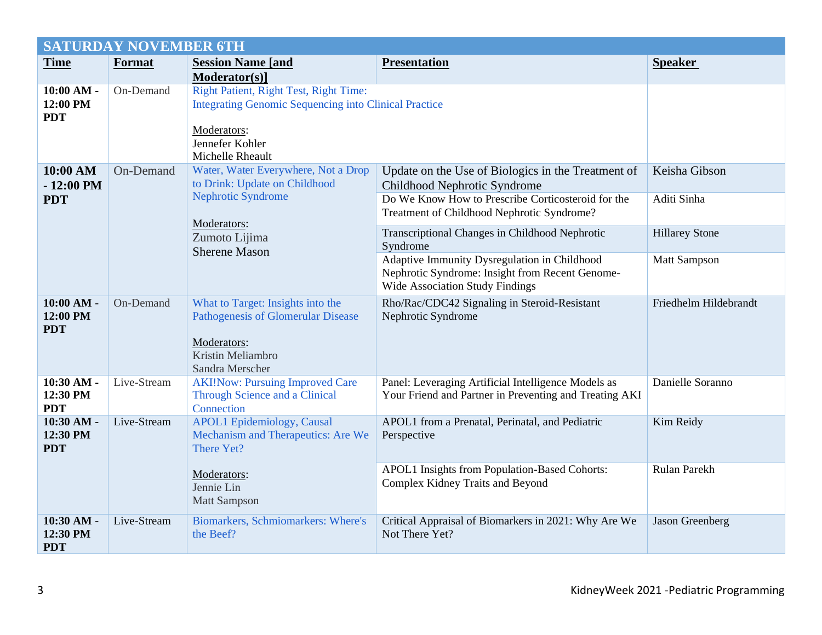| <b>SATURDAY NOVEMBER 6TH</b>           |             |                                                                                                                                                    |                                                                                                                                           |                       |  |
|----------------------------------------|-------------|----------------------------------------------------------------------------------------------------------------------------------------------------|-------------------------------------------------------------------------------------------------------------------------------------------|-----------------------|--|
| <b>Time</b>                            | Format      | <b>Session Name [and</b>                                                                                                                           | <b>Presentation</b>                                                                                                                       | <b>Speaker</b>        |  |
|                                        |             | Moderator(s)]                                                                                                                                      |                                                                                                                                           |                       |  |
| $10:00 AM -$<br>12:00 PM<br><b>PDT</b> | On-Demand   | <b>Right Patient, Right Test, Right Time:</b><br><b>Integrating Genomic Sequencing into Clinical Practice</b><br>Moderators:                       |                                                                                                                                           |                       |  |
|                                        |             | Jennefer Kohler<br>Michelle Rheault                                                                                                                |                                                                                                                                           |                       |  |
| 10:00 AM<br>$-12:00$ PM                | On-Demand   | Water, Water Everywhere, Not a Drop<br>to Drink: Update on Childhood<br>Nephrotic Syndrome<br>Moderators:<br>Zumoto Lijima<br><b>Sherene Mason</b> | Update on the Use of Biologics in the Treatment of<br>Childhood Nephrotic Syndrome                                                        | Keisha Gibson         |  |
| <b>PDT</b>                             |             |                                                                                                                                                    | Do We Know How to Prescribe Corticosteroid for the<br>Treatment of Childhood Nephrotic Syndrome?                                          | Aditi Sinha           |  |
|                                        |             |                                                                                                                                                    | Transcriptional Changes in Childhood Nephrotic<br>Syndrome                                                                                | <b>Hillarey Stone</b> |  |
|                                        |             |                                                                                                                                                    | Adaptive Immunity Dysregulation in Childhood<br>Nephrotic Syndrome: Insight from Recent Genome-<br><b>Wide Association Study Findings</b> | <b>Matt Sampson</b>   |  |
| $10:00 AM -$<br>12:00 PM<br><b>PDT</b> | On-Demand   | What to Target: Insights into the<br><b>Pathogenesis of Glomerular Disease</b><br>Moderators:<br>Kristin Meliambro<br>Sandra Merscher              | Rho/Rac/CDC42 Signaling in Steroid-Resistant<br>Nephrotic Syndrome                                                                        | Friedhelm Hildebrandt |  |
| 10:30 AM -<br>12:30 PM<br><b>PDT</b>   | Live-Stream | <b>AKI!Now: Pursuing Improved Care</b><br>Through Science and a Clinical<br>Connection                                                             | Panel: Leveraging Artificial Intelligence Models as<br>Your Friend and Partner in Preventing and Treating AKI                             | Danielle Soranno      |  |
| 10:30 AM -<br>12:30 PM<br><b>PDT</b>   | Live-Stream | <b>APOL1</b> Epidemiology, Causal<br>Mechanism and Therapeutics: Are We<br>There Yet?                                                              | APOL1 from a Prenatal, Perinatal, and Pediatric<br>Perspective                                                                            | Kim Reidy             |  |
|                                        |             | Moderators:<br>Jennie Lin<br><b>Matt Sampson</b>                                                                                                   | APOL1 Insights from Population-Based Cohorts:<br>Complex Kidney Traits and Beyond                                                         | Rulan Parekh          |  |
| 10:30 AM -<br>12:30 PM<br><b>PDT</b>   | Live-Stream | Biomarkers, Schmiomarkers: Where's<br>the Beef?                                                                                                    | Critical Appraisal of Biomarkers in 2021: Why Are We<br>Not There Yet?                                                                    | Jason Greenberg       |  |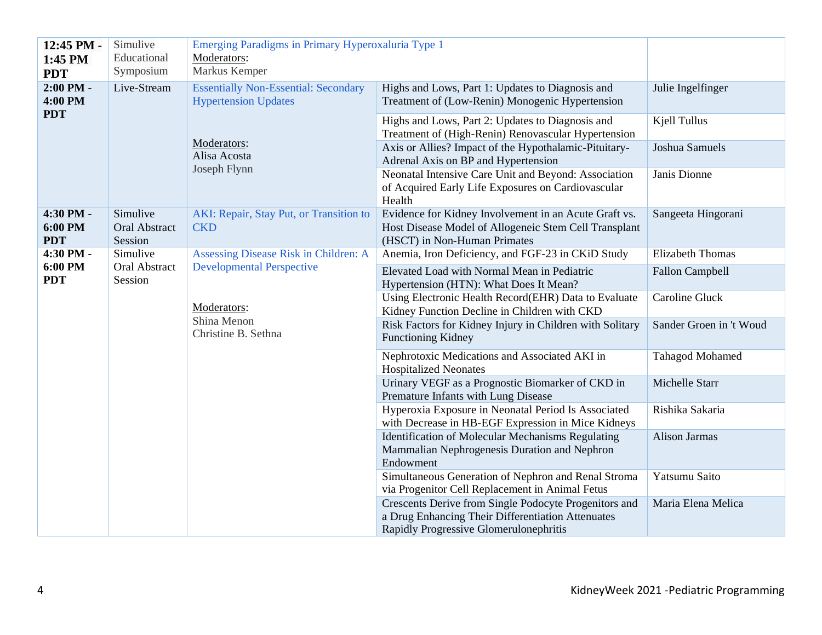| 12:45 PM -<br>1:45 PM              | Simulive<br>Educational                     | Emerging Paradigms in Primary Hyperoxaluria Type 1<br>Moderators:                                                         |                                                                                                                                                      |                         |
|------------------------------------|---------------------------------------------|---------------------------------------------------------------------------------------------------------------------------|------------------------------------------------------------------------------------------------------------------------------------------------------|-------------------------|
| <b>PDT</b>                         | Symposium                                   | Markus Kemper                                                                                                             |                                                                                                                                                      |                         |
| 2:00 PM -<br>4:00 PM<br><b>PDT</b> | Live-Stream                                 | <b>Essentially Non-Essential: Secondary</b><br><b>Hypertension Updates</b><br>Moderators:<br>Alisa Acosta<br>Joseph Flynn | Highs and Lows, Part 1: Updates to Diagnosis and<br>Treatment of (Low-Renin) Monogenic Hypertension                                                  | Julie Ingelfinger       |
|                                    |                                             |                                                                                                                           | Highs and Lows, Part 2: Updates to Diagnosis and<br>Treatment of (High-Renin) Renovascular Hypertension                                              | Kjell Tullus            |
|                                    |                                             |                                                                                                                           | Axis or Allies? Impact of the Hypothalamic-Pituitary-<br>Adrenal Axis on BP and Hypertension                                                         | Joshua Samuels          |
|                                    |                                             |                                                                                                                           | Neonatal Intensive Care Unit and Beyond: Association<br>of Acquired Early Life Exposures on Cardiovascular<br>Health                                 | Janis Dionne            |
| 4:30 PM -<br>6:00 PM<br><b>PDT</b> | Simulive<br><b>Oral Abstract</b><br>Session | AKI: Repair, Stay Put, or Transition to<br><b>CKD</b>                                                                     | Evidence for Kidney Involvement in an Acute Graft vs.<br>Host Disease Model of Allogeneic Stem Cell Transplant<br>(HSCT) in Non-Human Primates       | Sangeeta Hingorani      |
| 4:30 PM -                          | Simulive                                    | Assessing Disease Risk in Children: A                                                                                     | Anemia, Iron Deficiency, and FGF-23 in CKiD Study                                                                                                    | <b>Elizabeth Thomas</b> |
| 6:00 PM<br><b>PDT</b>              | <b>Oral Abstract</b><br>Session             | <b>Developmental Perspective</b>                                                                                          | Elevated Load with Normal Mean in Pediatric<br>Hypertension (HTN): What Does It Mean?                                                                | <b>Fallon Campbell</b>  |
|                                    |                                             | Moderators:<br>Shina Menon<br>Christine B. Sethna                                                                         | Using Electronic Health Record(EHR) Data to Evaluate<br>Kidney Function Decline in Children with CKD                                                 | Caroline Gluck          |
|                                    |                                             |                                                                                                                           | Risk Factors for Kidney Injury in Children with Solitary<br><b>Functioning Kidney</b>                                                                | Sander Groen in 't Woud |
|                                    |                                             |                                                                                                                           | Nephrotoxic Medications and Associated AKI in<br><b>Hospitalized Neonates</b>                                                                        | <b>Tahagod Mohamed</b>  |
|                                    |                                             |                                                                                                                           | Urinary VEGF as a Prognostic Biomarker of CKD in<br>Premature Infants with Lung Disease                                                              | Michelle Starr          |
|                                    |                                             |                                                                                                                           | Hyperoxia Exposure in Neonatal Period Is Associated<br>with Decrease in HB-EGF Expression in Mice Kidneys                                            | Rishika Sakaria         |
|                                    |                                             |                                                                                                                           | <b>Identification of Molecular Mechanisms Regulating</b><br>Mammalian Nephrogenesis Duration and Nephron<br>Endowment                                | Alison Jarmas           |
|                                    |                                             |                                                                                                                           | Simultaneous Generation of Nephron and Renal Stroma<br>via Progenitor Cell Replacement in Animal Fetus                                               | Yatsumu Saito           |
|                                    |                                             |                                                                                                                           | Crescents Derive from Single Podocyte Progenitors and<br>a Drug Enhancing Their Differentiation Attenuates<br>Rapidly Progressive Glomerulonephritis | Maria Elena Melica      |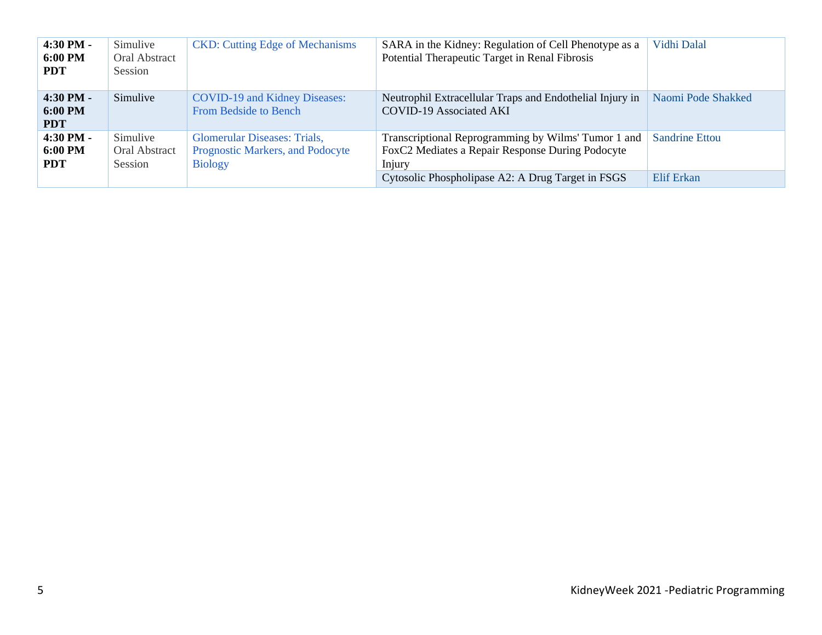| $4:30$ PM $-$<br>6:00 PM<br><b>PDT</b> | Simulive<br><b>Oral Abstract</b><br>Session | <b>CKD:</b> Cutting Edge of Mechanisms                                                    | SARA in the Kidney: Regulation of Cell Phenotype as a<br>Potential Therapeutic Target in Renal Fibrosis           | Vidhi Dalal           |
|----------------------------------------|---------------------------------------------|-------------------------------------------------------------------------------------------|-------------------------------------------------------------------------------------------------------------------|-----------------------|
| $4:30$ PM -<br>6:00 PM<br><b>PDT</b>   | Simulive                                    | <b>COVID-19 and Kidney Diseases:</b><br><b>From Bedside to Bench</b>                      | Neutrophil Extracellular Traps and Endothelial Injury in<br>COVID-19 Associated AKI                               | Naomi Pode Shakked    |
| $4:30$ PM $-$<br>6:00 PM<br><b>PDT</b> | Simulive<br>Oral Abstract<br>Session        | <b>Glomerular Diseases: Trials,</b><br>Prognostic Markers, and Podocyte<br><b>Biology</b> | Transcriptional Reprogramming by Wilms' Tumor 1 and<br>FoxC2 Mediates a Repair Response During Podocyte<br>Injury | <b>Sandrine Ettou</b> |
|                                        |                                             |                                                                                           | Cytosolic Phospholipase A2: A Drug Target in FSGS                                                                 | Elif Erkan            |